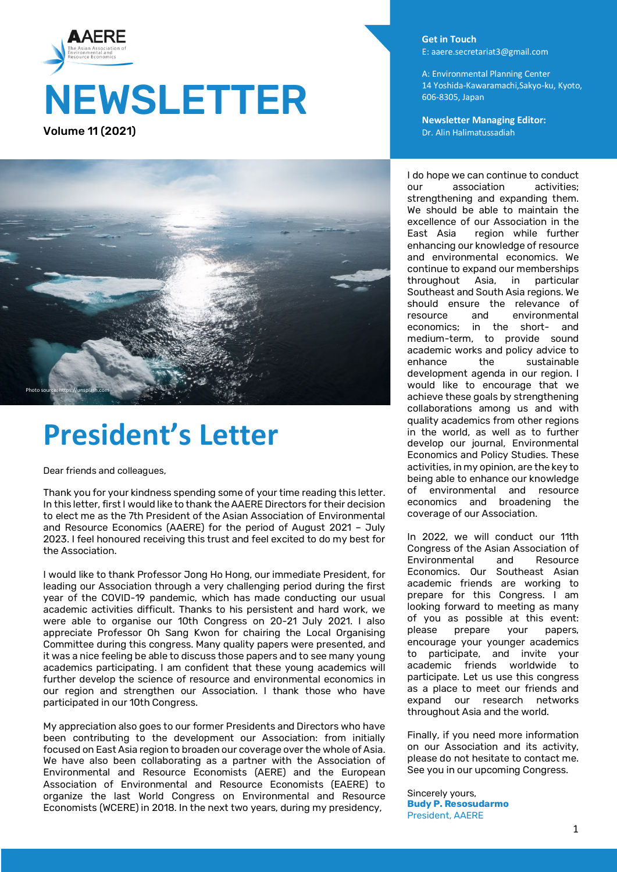



## **President's Letter**

Dear friends and colleagues,

Thank you for your kindness spending some of your time reading this letter. In this letter, first I would like to thank the AAERE Directors for their decision to elect me as the 7th President of the Asian Association of Environmental and Resource Economics (AAERE) for the period of August 2021 – July 2023. I feel honoured receiving this trust and feel excited to do my best for the Association.

I would like to thank Professor Jong Ho Hong, our immediate President, for leading our Association through a very challenging period during the first year of the COVID-19 pandemic, which has made conducting our usual academic activities difficult. Thanks to his persistent and hard work, we were able to organise our 10th Congress on 20-21 July 2021. I also appreciate Professor Oh Sang Kwon for chairing the Local Organising Committee during this congress. Many quality papers were presented, and it was a nice feeling be able to discuss those papers and to see many young academics participating. I am confident that these young academics will further develop the science of resource and environmental economics in our region and strengthen our Association. I thank those who have participated in our 10th Congress.

My appreciation also goes to our former Presidents and Directors who have been contributing to the development our Association: from initially focused on East Asia region to broaden our coverage over the whole of Asia. We have also been collaborating as a partner with the Association of Environmental and Resource Economists (AERE) and the European Association of Environmental and Resource Economists (EAERE) to organize the last World Congress on Environmental and Resource Economists (WCERE) in 2018. In the next two years, during my presidency,

**Get in Touch** E: aaere.secretariat3@gmail.com

A: Environmental Planning Center 14 Yoshida-Kawaramachi,Sakyo-ku, Kyoto, 606-8305, Japan

**Newsletter Managing Editor:**  Dr. Alin Halimatussadiah

I do hope we can continue to conduct<br>our association activities; our association strengthening and expanding them. We should be able to maintain the excellence of our Association in the<br>East Asia region while further region while further enhancing our knowledge of resource and environmental economics. We continue to expand our memberships throughout Asia, in particular Southeast and South Asia regions. We should ensure the relevance of<br>resource and environmental environmental economics; in the short- and medium-term, to provide sound academic works and policy advice to enhance the sustainable development agenda in our region. I would like to encourage that we achieve these goals by strengthening collaborations among us and with quality academics from other regions in the world, as well as to further develop our journal, Environmental Economics and Policy Studies. These activities, in my opinion, are the key to being able to enhance our knowledge of environmental and resource economics and broadening the coverage of our Association.

In 2022, we will conduct our 11th Congress of the Asian Association of Environmental and Resource Economics. Our Southeast Asian academic friends are working to prepare for this Congress. I am looking forward to meeting as many of you as possible at this event: please prepare your papers, encourage your younger academics to participate, and invite your academic friends worldwide to participate. Let us use this congress as a place to meet our friends and expand our research networks throughout Asia and the world.

Finally, if you need more information on our Association and its activity, please do not hesitate to contact me. See you in our upcoming Congress.

Sincerely yours, **Budy P. Resosudarmo** President, AAERE